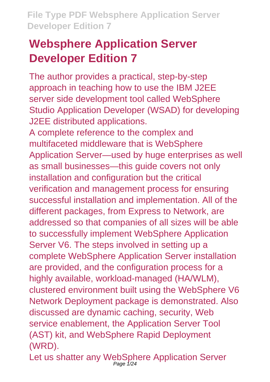# **Websphere Application Server Developer Edition 7**

The author provides a practical, step-by-step approach in teaching how to use the IBM J2EE server side development tool called WebSphere Studio Application Developer (WSAD) for developing J2EE distributed applications.

A complete reference to the complex and multifaceted middleware that is WebSphere Application Server—used by huge enterprises as well as small businesses—this guide covers not only installation and configuration but the critical verification and management process for ensuring successful installation and implementation. All of the different packages, from Express to Network, are addressed so that companies of all sizes will be able to successfully implement WebSphere Application Server V6. The steps involved in setting up a complete WebSphere Application Server installation are provided, and the configuration process for a highly available, workload-managed (HA/WLM), clustered environment built using the WebSphere V6 Network Deployment package is demonstrated. Also discussed are dynamic caching, security, Web service enablement, the Application Server Tool (AST) kit, and WebSphere Rapid Deployment (WRD).

Let us shatter any WebSphere Application Server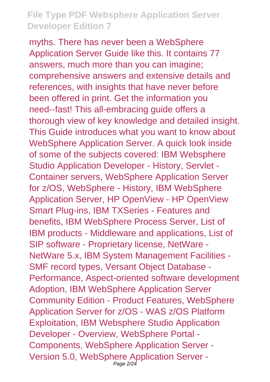myths. There has never been a WebSphere Application Server Guide like this. It contains 77 answers, much more than you can imagine; comprehensive answers and extensive details and references, with insights that have never before been offered in print. Get the information you need--fast! This all-embracing guide offers a thorough view of key knowledge and detailed insight. This Guide introduces what you want to know about WebSphere Application Server. A quick look inside of some of the subjects covered: IBM Websphere Studio Application Developer - History, Servlet - Container servers, WebSphere Application Server for z/OS, WebSphere - History, IBM WebSphere Application Server, HP OpenView - HP OpenView Smart Plug-ins, IBM TXSeries - Features and benefits, IBM WebSphere Process Server, List of IBM products - Middleware and applications, List of SIP software - Proprietary license, NetWare - NetWare 5.x, IBM System Management Facilities - SMF record types, Versant Object Database - Performance, Aspect-oriented software development Adoption, IBM WebSphere Application Server Community Edition - Product Features, WebSphere Application Server for z/OS - WAS z/OS Platform Exploitation, IBM Websphere Studio Application Developer - Overview, WebSphere Portal - Components, WebSphere Application Server - Version 5.0, WebSphere Application Server - Page 2/24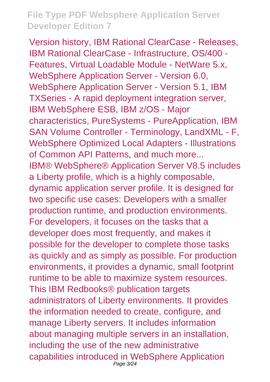Version history, IBM Rational ClearCase - Releases, IBM Rational ClearCase - Infrastructure, OS/400 - Features, Virtual Loadable Module - NetWare 5.x, WebSphere Application Server - Version 6.0, WebSphere Application Server - Version 5.1, IBM TXSeries - A rapid deployment integration server, IBM WebSphere ESB, IBM z/OS - Major characteristics, PureSystems - PureApplication, IBM SAN Volume Controller - Terminology, LandXML - F, WebSphere Optimized Local Adapters - Illustrations of Common API Patterns, and much more... IBM® WebSphere® Application Server V8.5 includes a Liberty profile, which is a highly composable, dynamic application server profile. It is designed for two specific use cases: Developers with a smaller production runtime, and production environments. For developers, it focuses on the tasks that a developer does most frequently, and makes it possible for the developer to complete those tasks as quickly and as simply as possible. For production environments, it provides a dynamic, small footprint runtime to be able to maximize system resources. This IBM Redbooks® publication targets administrators of Liberty environments. It provides the information needed to create, configure, and manage Liberty servers. It includes information about managing multiple servers in an installation, including the use of the new administrative capabilities introduced in WebSphere Application Page 3/24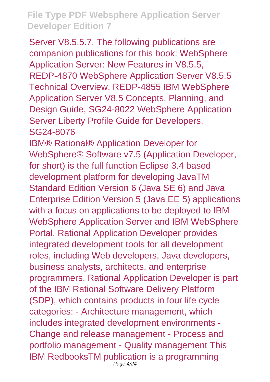Server V8.5.5.7. The following publications are companion publications for this book: WebSphere Application Server: New Features in V8.5.5, REDP-4870 WebSphere Application Server V8.5.5 Technical Overview, REDP-4855 IBM WebSphere Application Server V8.5 Concepts, Planning, and Design Guide, SG24-8022 WebSphere Application Server Liberty Profile Guide for Developers, SG24-8076

IBM® Rational® Application Developer for WebSphere® Software v7.5 (Application Developer, for short) is the full function Eclipse 3.4 based development platform for developing JavaTM Standard Edition Version 6 (Java SE 6) and Java Enterprise Edition Version 5 (Java EE 5) applications with a focus on applications to be deployed to IBM WebSphere Application Server and IBM WebSphere Portal. Rational Application Developer provides integrated development tools for all development roles, including Web developers, Java developers, business analysts, architects, and enterprise programmers. Rational Application Developer is part of the IBM Rational Software Delivery Platform (SDP), which contains products in four life cycle categories: - Architecture management, which includes integrated development environments - Change and release management - Process and portfolio management - Quality management This IBM RedbooksTM publication is a programming Page 4/24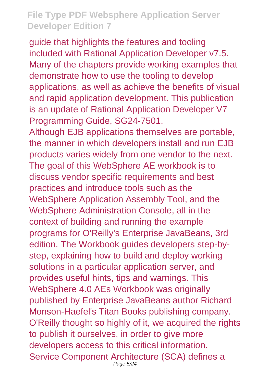guide that highlights the features and tooling included with Rational Application Developer v7.5. Many of the chapters provide working examples that demonstrate how to use the tooling to develop applications, as well as achieve the benefits of visual and rapid application development. This publication is an update of Rational Application Developer V7 Programming Guide, SG24-7501.

Although EJB applications themselves are portable, the manner in which developers install and run EJB products varies widely from one vendor to the next. The goal of this WebSphere AE workbook is to discuss vendor specific requirements and best practices and introduce tools such as the WebSphere Application Assembly Tool, and the WebSphere Administration Console, all in the context of building and running the example programs for O'Reilly's Enterprise JavaBeans, 3rd edition. The Workbook guides developers step-bystep, explaining how to build and deploy working solutions in a particular application server, and provides useful hints, tips and warnings. This WebSphere 4.0 AEs Workbook was originally published by Enterprise JavaBeans author Richard Monson-Haefel's Titan Books publishing company. O'Reilly thought so highly of it, we acquired the rights to publish it ourselves, in order to give more developers access to this critical information. Service Component Architecture (SCA) defines a Page 5/24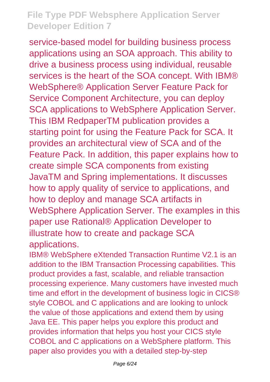service-based model for building business process applications using an SOA approach. This ability to drive a business process using individual, reusable services is the heart of the SOA concept. With IBM® WebSphere® Application Server Feature Pack for Service Component Architecture, you can deploy SCA applications to WebSphere Application Server. This IBM RedpaperTM publication provides a starting point for using the Feature Pack for SCA. It provides an architectural view of SCA and of the Feature Pack. In addition, this paper explains how to create simple SCA components from existing JavaTM and Spring implementations. It discusses how to apply quality of service to applications, and how to deploy and manage SCA artifacts in WebSphere Application Server. The examples in this paper use Rational® Application Developer to illustrate how to create and package SCA applications.

IBM® WebSphere eXtended Transaction Runtime V2.1 is an addition to the IBM Transaction Processing capabilities. This product provides a fast, scalable, and reliable transaction processing experience. Many customers have invested much time and effort in the development of business logic in CICS® style COBOL and C applications and are looking to unlock the value of those applications and extend them by using Java EE. This paper helps you explore this product and provides information that helps you host your CICS style COBOL and C applications on a WebSphere platform. This paper also provides you with a detailed step-by-step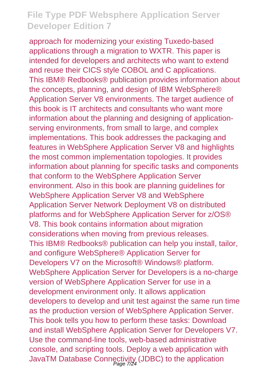approach for modernizing your existing Tuxedo-based applications through a migration to WXTR. This paper is intended for developers and architects who want to extend and reuse their CICS style COBOL and C applications. This IBM® Redbooks® publication provides information about the concepts, planning, and design of IBM WebSphere® Application Server V8 environments. The target audience of this book is IT architects and consultants who want more information about the planning and designing of applicationserving environments, from small to large, and complex implementations. This book addresses the packaging and features in WebSphere Application Server V8 and highlights the most common implementation topologies. It provides information about planning for specific tasks and components that conform to the WebSphere Application Server environment. Also in this book are planning guidelines for WebSphere Application Server V8 and WebSphere Application Server Network Deployment V8 on distributed platforms and for WebSphere Application Server for z/OS® V8. This book contains information about migration considerations when moving from previous releases. This IBM® Redbooks® publication can help you install, tailor, and configure WebSphere® Application Server for Developers V7 on the Microsoft® Windows® platform. WebSphere Application Server for Developers is a no-charge version of WebSphere Application Server for use in a development environment only. It allows application developers to develop and unit test against the same run time as the production version of WebSphere Application Server. This book tells you how to perform these tasks: Download and install WebSphere Application Server for Developers V7. Use the command-line tools, web-based administrative console, and scripting tools. Deploy a web application with JavaTM Database Connectivity (JDBC) to the application Page 7/24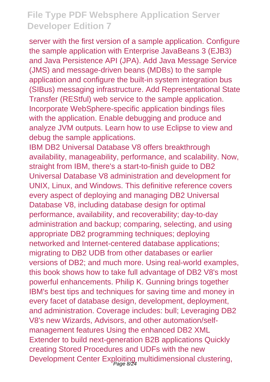server with the first version of a sample application. Configure the sample application with Enterprise JavaBeans 3 (EJB3) and Java Persistence API (JPA). Add Java Message Service (JMS) and message-driven beans (MDBs) to the sample application and configure the built-in system integration bus (SIBus) messaging infrastructure. Add Representational State Transfer (REStful) web service to the sample application. Incorporate WebSphere-specific application bindings files with the application. Enable debugging and produce and analyze JVM outputs. Learn how to use Eclipse to view and debug the sample applications.

IBM DB2 Universal Database V8 offers breakthrough availability, manageability, performance, and scalability. Now, straight from IBM, there's a start-to-finish guide to DB2 Universal Database V8 administration and development for UNIX, Linux, and Windows. This definitive reference covers every aspect of deploying and managing DB2 Universal Database V8, including database design for optimal performance, availability, and recoverability; day-to-day administration and backup; comparing, selecting, and using appropriate DB2 programming techniques; deploying networked and Internet-centered database applications; migrating to DB2 UDB from other databases or earlier versions of DB2; and much more. Using real-world examples, this book shows how to take full advantage of DB2 V8's most powerful enhancements. Philip K. Gunning brings together IBM's best tips and techniques for saving time and money in every facet of database design, development, deployment, and administration. Coverage includes: bull; Leveraging DB2 V8's new Wizards, Advisors, and other automation/selfmanagement features Using the enhanced DB2 XML Extender to build next-generation B2B applications Quickly creating Stored Procedures and UDFs with the new Development Center Exploiting multidimensional clustering,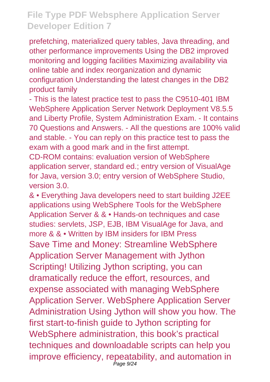prefetching, materialized query tables, Java threading, and other performance improvements Using the DB2 improved monitoring and logging facilities Maximizing availability via online table and index reorganization and dynamic configuration Understanding the latest changes in the DB2 product family

- This is the latest practice test to pass the C9510-401 IBM WebSphere Application Server Network Deployment V8.5.5 and Liberty Profile, System Administration Exam. - It contains 70 Questions and Answers. - All the questions are 100% valid and stable. - You can reply on this practice test to pass the exam with a good mark and in the first attempt.

CD-ROM contains: evaluation version of WebSphere application server, standard ed.; entry version of VisualAge for Java, version 3.0; entry version of WebSphere Studio, version 3.0.

& • Everything Java developers need to start building J2EE applications using WebSphere Tools for the WebSphere Application Server & & • Hands-on techniques and case studies: servlets, JSP, EJB, IBM VisualAge for Java, and more & & • Written by IBM insiders for IBM Press Save Time and Money: Streamline WebSphere Application Server Management with Jython Scripting! Utilizing Jython scripting, you can dramatically reduce the effort, resources, and expense associated with managing WebSphere Application Server. WebSphere Application Server Administration Using Jython will show you how. The first start-to-finish guide to Jython scripting for WebSphere administration, this book's practical techniques and downloadable scripts can help you improve efficiency, repeatability, and automation in Page 9/24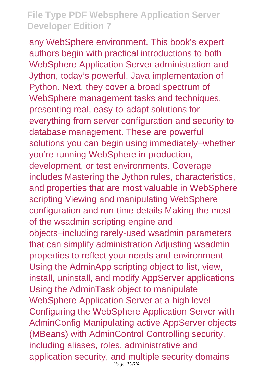any WebSphere environment. This book's expert authors begin with practical introductions to both WebSphere Application Server administration and Jython, today's powerful, Java implementation of Python. Next, they cover a broad spectrum of WebSphere management tasks and techniques, presenting real, easy-to-adapt solutions for everything from server configuration and security to database management. These are powerful solutions you can begin using immediately–whether you're running WebSphere in production, development, or test environments. Coverage includes Mastering the Jython rules, characteristics, and properties that are most valuable in WebSphere scripting Viewing and manipulating WebSphere configuration and run-time details Making the most of the wsadmin scripting engine and objects–including rarely-used wsadmin parameters that can simplify administration Adjusting wsadmin properties to reflect your needs and environment Using the AdminApp scripting object to list, view, install, uninstall, and modify AppServer applications Using the AdminTask object to manipulate WebSphere Application Server at a high level Configuring the WebSphere Application Server with AdminConfig Manipulating active AppServer objects (MBeans) with AdminControl Controlling security, including aliases, roles, administrative and application security, and multiple security domains Page 10/24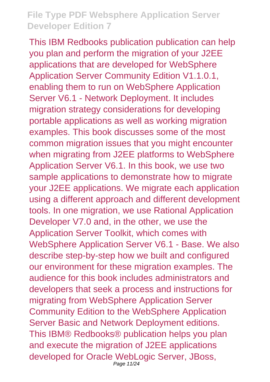This IBM Redbooks publication publication can help you plan and perform the migration of your J2EE applications that are developed for WebSphere Application Server Community Edition V1.1.0.1, enabling them to run on WebSphere Application Server V6.1 - Network Deployment. It includes migration strategy considerations for developing portable applications as well as working migration examples. This book discusses some of the most common migration issues that you might encounter when migrating from J2EE platforms to WebSphere Application Server V6.1. In this book, we use two sample applications to demonstrate how to migrate your J2EE applications. We migrate each application using a different approach and different development tools. In one migration, we use Rational Application Developer V7.0 and, in the other, we use the Application Server Toolkit, which comes with WebSphere Application Server V6.1 - Base. We also describe step-by-step how we built and configured our environment for these migration examples. The audience for this book includes administrators and developers that seek a process and instructions for migrating from WebSphere Application Server Community Edition to the WebSphere Application Server Basic and Network Deployment editions. This IBM® Redbooks® publication helps you plan and execute the migration of J2EE applications developed for Oracle WebLogic Server, JBoss, Page 11/24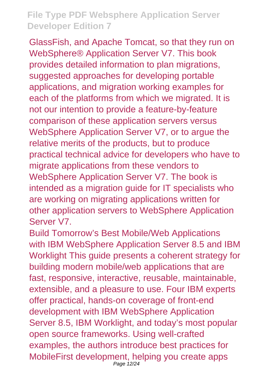GlassFish, and Apache Tomcat, so that they run on WebSphere® Application Server V7. This book provides detailed information to plan migrations, suggested approaches for developing portable applications, and migration working examples for each of the platforms from which we migrated. It is not our intention to provide a feature-by-feature comparison of these application servers versus WebSphere Application Server V7, or to argue the relative merits of the products, but to produce practical technical advice for developers who have to migrate applications from these vendors to WebSphere Application Server V7. The book is intended as a migration guide for IT specialists who are working on migrating applications written for other application servers to WebSphere Application Server V7.

Build Tomorrow's Best Mobile/Web Applications with IBM WebSphere Application Server 8.5 and IBM Worklight This guide presents a coherent strategy for building modern mobile/web applications that are fast, responsive, interactive, reusable, maintainable, extensible, and a pleasure to use. Four IBM experts offer practical, hands-on coverage of front-end development with IBM WebSphere Application Server 8.5, IBM Worklight, and today's most popular open source frameworks. Using well-crafted examples, the authors introduce best practices for MobileFirst development, helping you create apps Page 12/24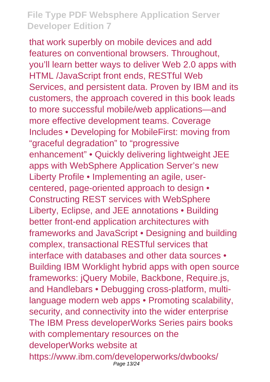that work superbly on mobile devices and add features on conventional browsers. Throughout, you'll learn better ways to deliver Web 2.0 apps with HTML /JavaScript front ends, RESTful Web Services, and persistent data. Proven by IBM and its customers, the approach covered in this book leads to more successful mobile/web applications—and more effective development teams. Coverage Includes • Developing for MobileFirst: moving from "graceful degradation" to "progressive enhancement" • Quickly delivering lightweight JEE apps with WebSphere Application Server's new Liberty Profile • Implementing an agile, usercentered, page-oriented approach to design • Constructing REST services with WebSphere Liberty, Eclipse, and JEE annotations • Building better front-end application architectures with frameworks and JavaScript • Designing and building complex, transactional RESTful services that interface with databases and other data sources • Building IBM Worklight hybrid apps with open source frameworks: jQuery Mobile, Backbone, Require.js, and Handlebars • Debugging cross-platform, multilanguage modern web apps • Promoting scalability, security, and connectivity into the wider enterprise The IBM Press developerWorks Series pairs books with complementary resources on the developerWorks website at https://www.ibm.com/developerworks/dwbooks/ Page 13/24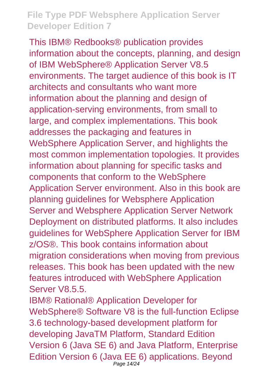This IBM® Redbooks® publication provides information about the concepts, planning, and design of IBM WebSphere® Application Server V8.5 environments. The target audience of this book is IT architects and consultants who want more information about the planning and design of application-serving environments, from small to large, and complex implementations. This book addresses the packaging and features in WebSphere Application Server, and highlights the most common implementation topologies. It provides information about planning for specific tasks and components that conform to the WebSphere Application Server environment. Also in this book are planning guidelines for Websphere Application Server and Websphere Application Server Network Deployment on distributed platforms. It also includes guidelines for WebSphere Application Server for IBM z/OS®. This book contains information about migration considerations when moving from previous releases. This book has been updated with the new features introduced with WebSphere Application Server V8.5.5

IBM® Rational® Application Developer for WebSphere® Software V8 is the full-function Eclipse 3.6 technology-based development platform for developing JavaTM Platform, Standard Edition Version 6 (Java SE 6) and Java Platform, Enterprise Edition Version 6 (Java EE 6) applications. Beyond Page 14/24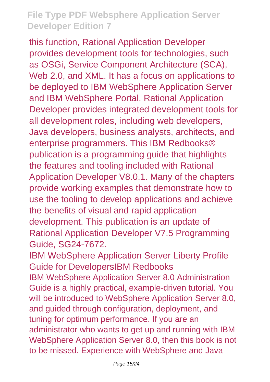this function, Rational Application Developer provides development tools for technologies, such as OSGi, Service Component Architecture (SCA), Web 2.0, and XML. It has a focus on applications to be deployed to IBM WebSphere Application Server and IBM WebSphere Portal. Rational Application Developer provides integrated development tools for all development roles, including web developers, Java developers, business analysts, architects, and enterprise programmers. This IBM Redbooks® publication is a programming guide that highlights the features and tooling included with Rational Application Developer V8.0.1. Many of the chapters provide working examples that demonstrate how to use the tooling to develop applications and achieve the benefits of visual and rapid application development. This publication is an update of Rational Application Developer V7.5 Programming Guide, SG24-7672.

IBM WebSphere Application Server Liberty Profile Guide for DevelopersIBM Redbooks IBM WebSphere Application Server 8.0 Administration Guide is a highly practical, example-driven tutorial. You will be introduced to WebSphere Application Server 8.0, and guided through configuration, deployment, and tuning for optimum performance. If you are an administrator who wants to get up and running with IBM WebSphere Application Server 8.0, then this book is not to be missed. Experience with WebSphere and Java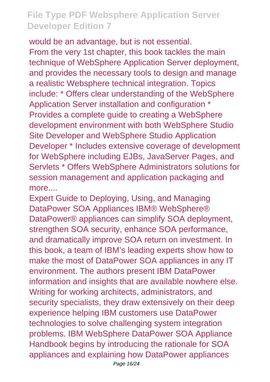would be an advantage, but is not essential. From the very 1st chapter, this book tackles the main technique of WebSphere Application Server deployment, and provides the necessary tools to design and manage a realistic Websphere technical integration. Topics include: \* Offers clear understanding of the WebSphere Application Server installation and configuration \* Provides a complete guide to creating a WebSphere development environment with both WebSphere Studio Site Developer and WebSphere Studio Application Developer \* Includes extensive coverage of development for WebSphere including EJBs, JavaServer Pages, and Servlets \* Offers WebSphere Administrators solutions for session management and application packaging and more....

Expert Guide to Deploying, Using, and Managing DataPower SOA Appliances IBM® WebSphere® DataPower® appliances can simplify SOA deployment, strengthen SOA security, enhance SOA performance, and dramatically improve SOA return on investment. In this book, a team of IBM's leading experts show how to make the most of DataPower SOA appliances in any IT environment. The authors present IBM DataPower information and insights that are available nowhere else. Writing for working architects, administrators, and security specialists, they draw extensively on their deep experience helping IBM customers use DataPower technologies to solve challenging system integration problems. IBM WebSphere DataPower SOA Appliance Handbook begins by introducing the rationale for SOA appliances and explaining how DataPower appliances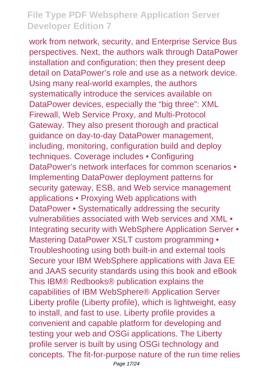work from network, security, and Enterprise Service Bus perspectives. Next, the authors walk through DataPower installation and configuration; then they present deep detail on DataPower's role and use as a network device. Using many real-world examples, the authors systematically introduce the services available on DataPower devices, especially the "big three": XML Firewall, Web Service Proxy, and Multi-Protocol Gateway. They also present thorough and practical guidance on day-to-day DataPower management, including, monitoring, configuration build and deploy techniques. Coverage includes • Configuring DataPower's network interfaces for common scenarios • Implementing DataPower deployment patterns for security gateway, ESB, and Web service management applications • Proxying Web applications with DataPower • Systematically addressing the security vulnerabilities associated with Web services and XML • Integrating security with WebSphere Application Server • Mastering DataPower XSLT custom programming • Troubleshooting using both built-in and external tools Secure your IBM WebSphere applications with Java EE and JAAS security standards using this book and eBook This IBM® Redbooks® publication explains the capabilities of IBM WebSphere® Application Server Liberty profile (Liberty profile), which is lightweight, easy to install, and fast to use. Liberty profile provides a convenient and capable platform for developing and testing your web and OSGi applications. The Liberty profile server is built by using OSGi technology and concepts. The fit-for-purpose nature of the run time relies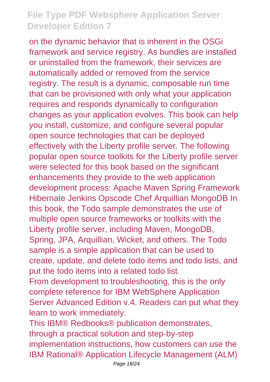on the dynamic behavior that is inherent in the OSGi framework and service registry. As bundles are installed or uninstalled from the framework, their services are automatically added or removed from the service registry. The result is a dynamic, composable run time that can be provisioned with only what your application requires and responds dynamically to configuration changes as your application evolves. This book can help you install, customize, and configure several popular open source technologies that can be deployed effectively with the Liberty profile server. The following popular open source toolkits for the Liberty profile server were selected for this book based on the significant enhancements they provide to the web application development process: Apache Maven Spring Framework Hibernate Jenkins Opscode Chef Arquillian MongoDB In this book, the Todo sample demonstrates the use of multiple open source frameworks or toolkits with the Liberty profile server, including Maven, MongoDB, Spring, JPA, Arquillian, Wicket, and others. The Todo sample is a simple application that can be used to create, update, and delete todo items and todo lists, and put the todo items into a related todo list.

From development to troubleshooting, this is the only complete reference for IBM WebSphere Application Server Advanced Edition v.4. Readers can put what they learn to work immediately.

This IBM® Redbooks® publication demonstrates, through a practical solution and step-by-step implementation instructions, how customers can use the IBM Rational® Application Lifecycle Management (ALM)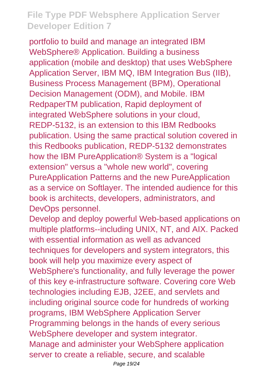portfolio to build and manage an integrated IBM WebSphere® Application. Building a business application (mobile and desktop) that uses WebSphere Application Server, IBM MQ, IBM Integration Bus (IIB), Business Process Management (BPM), Operational Decision Management (ODM), and Mobile. IBM RedpaperTM publication, Rapid deployment of integrated WebSphere solutions in your cloud, REDP-5132, is an extension to this IBM Redbooks publication. Using the same practical solution covered in this Redbooks publication, REDP-5132 demonstrates how the IBM PureApplication® System is a "logical extension" versus a "whole new world", covering PureApplication Patterns and the new PureApplication as a service on Softlayer. The intended audience for this book is architects, developers, administrators, and DevOps personnel.

Develop and deploy powerful Web-based applications on multiple platforms--including UNIX, NT, and AIX. Packed with essential information as well as advanced techniques for developers and system integrators, this book will help you maximize every aspect of WebSphere's functionality, and fully leverage the power of this key e-infrastructure software. Covering core Web technologies including EJB, J2EE, and servlets and including original source code for hundreds of working programs, IBM WebSphere Application Server Programming belongs in the hands of every serious WebSphere developer and system integrator. Manage and administer your WebSphere application server to create a reliable, secure, and scalable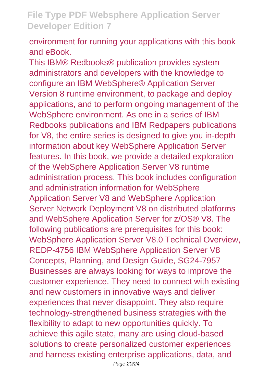environment for running your applications with this book and eBook.

This IBM® Redbooks® publication provides system administrators and developers with the knowledge to configure an IBM WebSphere® Application Server Version 8 runtime environment, to package and deploy applications, and to perform ongoing management of the WebSphere environment. As one in a series of IBM Redbooks publications and IBM Redpapers publications for V8, the entire series is designed to give you in-depth information about key WebSphere Application Server features. In this book, we provide a detailed exploration of the WebSphere Application Server V8 runtime administration process. This book includes configuration and administration information for WebSphere Application Server V8 and WebSphere Application Server Network Deployment V8 on distributed platforms and WebSphere Application Server for z/OS® V8. The following publications are prerequisites for this book: WebSphere Application Server V8.0 Technical Overview, REDP-4756 IBM WebSphere Application Server V8 Concepts, Planning, and Design Guide, SG24-7957 Businesses are always looking for ways to improve the customer experience. They need to connect with existing and new customers in innovative ways and deliver experiences that never disappoint. They also require technology-strengthened business strategies with the flexibility to adapt to new opportunities quickly. To achieve this agile state, many are using cloud-based solutions to create personalized customer experiences and harness existing enterprise applications, data, and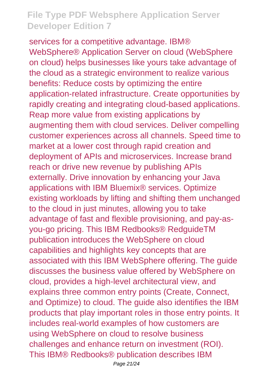services for a competitive advantage. IBM® WebSphere® Application Server on cloud (WebSphere on cloud) helps businesses like yours take advantage of the cloud as a strategic environment to realize various benefits: Reduce costs by optimizing the entire application-related infrastructure. Create opportunities by rapidly creating and integrating cloud-based applications. Reap more value from existing applications by augmenting them with cloud services. Deliver compelling customer experiences across all channels. Speed time to market at a lower cost through rapid creation and deployment of APIs and microservices. Increase brand reach or drive new revenue by publishing APIs externally. Drive innovation by enhancing your Java applications with IBM Bluemix® services. Optimize existing workloads by lifting and shifting them unchanged to the cloud in just minutes, allowing you to take advantage of fast and flexible provisioning, and pay-asyou-go pricing. This IBM Redbooks® RedguideTM publication introduces the WebSphere on cloud capabilities and highlights key concepts that are associated with this IBM WebSphere offering. The guide discusses the business value offered by WebSphere on cloud, provides a high-level architectural view, and explains three common entry points (Create, Connect, and Optimize) to cloud. The guide also identifies the IBM products that play important roles in those entry points. It includes real-world examples of how customers are using WebSphere on cloud to resolve business challenges and enhance return on investment (ROI). This IBM® Redbooks® publication describes IBM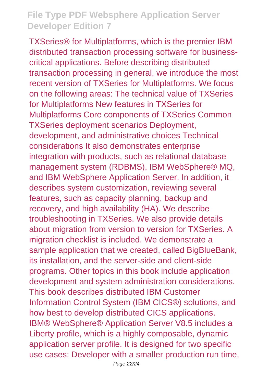TXSeries® for Multiplatforms, which is the premier IBM distributed transaction processing software for businesscritical applications. Before describing distributed transaction processing in general, we introduce the most recent version of TXSeries for Multiplatforms. We focus on the following areas: The technical value of TXSeries for Multiplatforms New features in TXSeries for Multiplatforms Core components of TXSeries Common TXSeries deployment scenarios Deployment, development, and administrative choices Technical considerations It also demonstrates enterprise integration with products, such as relational database management system (RDBMS), IBM WebSphere® MQ, and IBM WebSphere Application Server. In addition, it describes system customization, reviewing several features, such as capacity planning, backup and recovery, and high availability (HA). We describe troubleshooting in TXSeries. We also provide details about migration from version to version for TXSeries. A migration checklist is included. We demonstrate a sample application that we created, called BigBlueBank, its installation, and the server-side and client-side programs. Other topics in this book include application development and system administration considerations. This book describes distributed IBM Customer Information Control System (IBM CICS®) solutions, and how best to develop distributed CICS applications. IBM® WebSphere® Application Server V8.5 includes a Liberty profile, which is a highly composable, dynamic application server profile. It is designed for two specific use cases: Developer with a smaller production run time,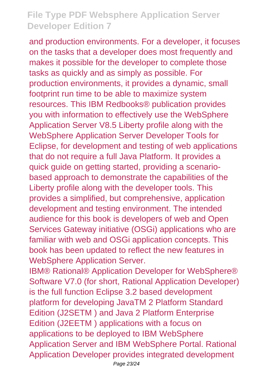and production environments. For a developer, it focuses on the tasks that a developer does most frequently and makes it possible for the developer to complete those tasks as quickly and as simply as possible. For production environments, it provides a dynamic, small footprint run time to be able to maximize system resources. This IBM Redbooks® publication provides you with information to effectively use the WebSphere Application Server V8.5 Liberty profile along with the WebSphere Application Server Developer Tools for Eclipse, for development and testing of web applications that do not require a full Java Platform. It provides a quick guide on getting started, providing a scenariobased approach to demonstrate the capabilities of the Liberty profile along with the developer tools. This provides a simplified, but comprehensive, application development and testing environment. The intended audience for this book is developers of web and Open Services Gateway initiative (OSGi) applications who are familiar with web and OSGi application concepts. This book has been updated to reflect the new features in WebSphere Application Server.

IBM® Rational® Application Developer for WebSphere® Software V7.0 (for short, Rational Application Developer) is the full function Eclipse 3.2 based development platform for developing JavaTM 2 Platform Standard Edition (J2SETM ) and Java 2 Platform Enterprise Edition (J2EETM ) applications with a focus on applications to be deployed to IBM WebSphere Application Server and IBM WebSphere Portal. Rational Application Developer provides integrated development